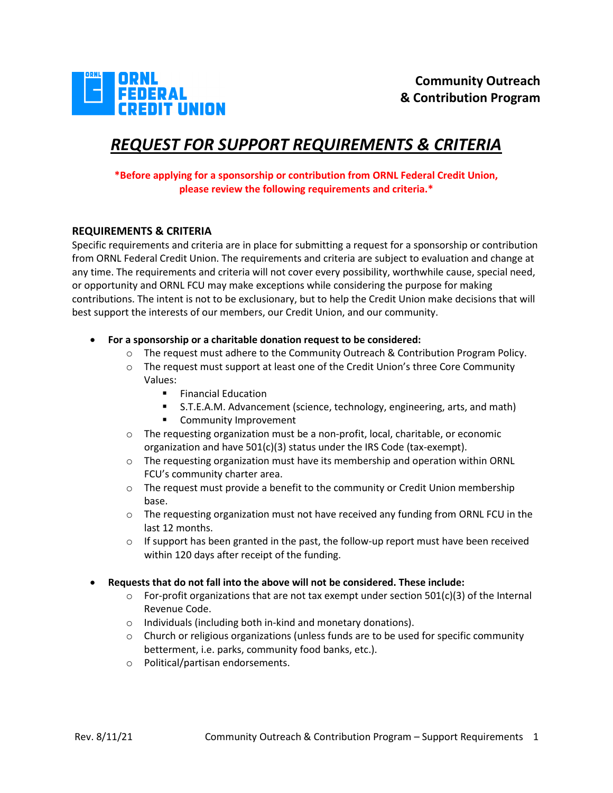

# *REQUEST FOR SUPPORT REQUIREMENTS & CRITERIA*

## **\*Before applying for a sponsorship or contribution from ORNL Federal Credit Union, please review the following requirements and criteria.\***

## **REQUIREMENTS & CRITERIA**

Specific requirements and criteria are in place for submitting a request for a sponsorship or contribution from ORNL Federal Credit Union. The requirements and criteria are subject to evaluation and change at any time. The requirements and criteria will not cover every possibility, worthwhile cause, special need, or opportunity and ORNL FCU may make exceptions while considering the purpose for making contributions. The intent is not to be exclusionary, but to help the Credit Union make decisions that will best support the interests of our members, our Credit Union, and our community.

- **For a sponsorship or a charitable donation request to be considered:**
	- o The request must adhere to the Community Outreach & Contribution Program Policy.
	- o The request must support at least one of the Credit Union's three Core Community Values:
		- **Financial Education**
		- S.T.E.A.M. Advancement (science, technology, engineering, arts, and math)
		- **EXECOMMUNITY Improvement**
	- o The requesting organization must be a non-profit, local, charitable, or economic organization and have 501(c)(3) status under the IRS Code (tax-exempt).
	- $\circ$  The requesting organization must have its membership and operation within ORNL FCU's community charter area.
	- $\circ$  The request must provide a benefit to the community or Credit Union membership base.
	- $\circ$  The requesting organization must not have received any funding from ORNL FCU in the last 12 months.
	- $\circ$  If support has been granted in the past, the follow-up report must have been received within 120 days after receipt of the funding.
- **Requests that do not fall into the above will not be considered. These include:**
	- $\circ$  For-profit organizations that are not tax exempt under section 501(c)(3) of the Internal Revenue Code.
	- o Individuals (including both in-kind and monetary donations).
	- $\circ$  Church or religious organizations (unless funds are to be used for specific community betterment, i.e. parks, community food banks, etc.).
	- o Political/partisan endorsements.